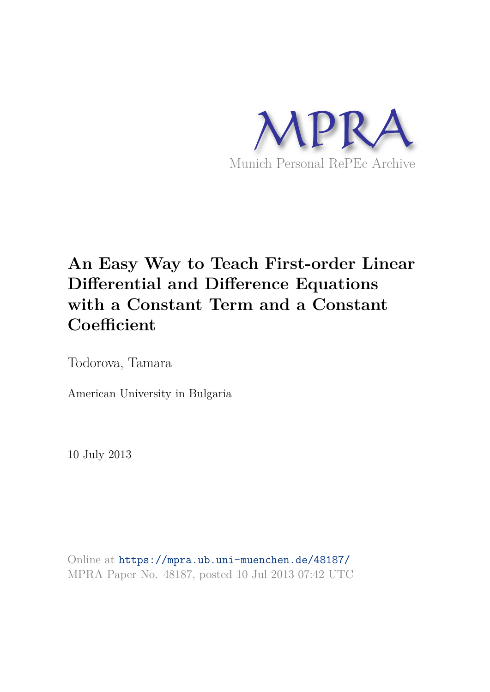

# **An Easy Way to Teach First-order Linear Differential and Difference Equations with a Constant Term and a Constant Coefficient**

Todorova, Tamara

American University in Bulgaria

10 July 2013

Online at https://mpra.ub.uni-muenchen.de/48187/ MPRA Paper No. 48187, posted 10 Jul 2013 07:42 UTC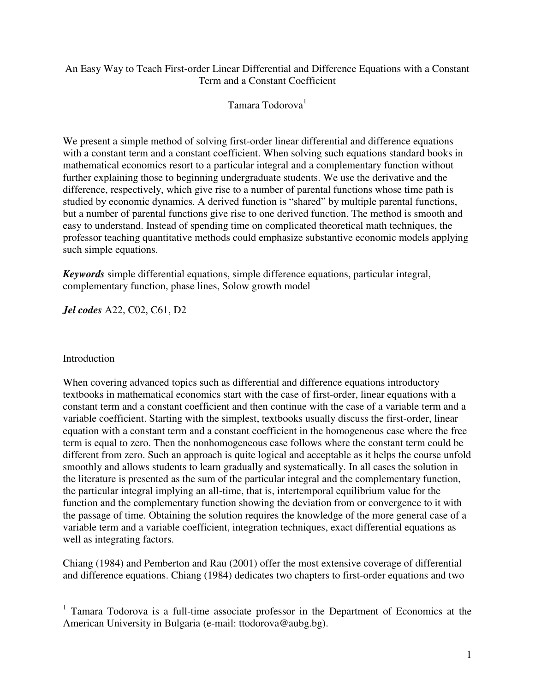## An Easy Way to Teach First-order Linear Differential and Difference Equations with a Constant Term and a Constant Coefficient

Tamara Todorova<sup>1</sup>

We present a simple method of solving first-order linear differential and difference equations with a constant term and a constant coefficient. When solving such equations standard books in mathematical economics resort to a particular integral and a complementary function without further explaining those to beginning undergraduate students. We use the derivative and the difference, respectively, which give rise to a number of parental functions whose time path is studied by economic dynamics. A derived function is "shared" by multiple parental functions, but a number of parental functions give rise to one derived function. The method is smooth and easy to understand. Instead of spending time on complicated theoretical math techniques, the professor teaching quantitative methods could emphasize substantive economic models applying such simple equations.

*Keywords* simple differential equations, simple difference equations, particular integral, complementary function, phase lines, Solow growth model

*Jel codes* A22, C02, C61, D2

## **Introduction**

 $\overline{a}$ 

When covering advanced topics such as differential and difference equations introductory textbooks in mathematical economics start with the case of first-order, linear equations with a constant term and a constant coefficient and then continue with the case of a variable term and a variable coefficient. Starting with the simplest, textbooks usually discuss the first-order, linear equation with a constant term and a constant coefficient in the homogeneous case where the free term is equal to zero. Then the nonhomogeneous case follows where the constant term could be different from zero. Such an approach is quite logical and acceptable as it helps the course unfold smoothly and allows students to learn gradually and systematically. In all cases the solution in the literature is presented as the sum of the particular integral and the complementary function, the particular integral implying an all-time, that is, intertemporal equilibrium value for the function and the complementary function showing the deviation from or convergence to it with the passage of time. Obtaining the solution requires the knowledge of the more general case of a variable term and a variable coefficient, integration techniques, exact differential equations as well as integrating factors.

Chiang (1984) and Pemberton and Rau (2001) offer the most extensive coverage of differential and difference equations. Chiang (1984) dedicates two chapters to first-order equations and two

<sup>&</sup>lt;sup>1</sup> Tamara Todorova is a full-time associate professor in the Department of Economics at the American University in Bulgaria (e-mail: ttodorova@aubg.bg).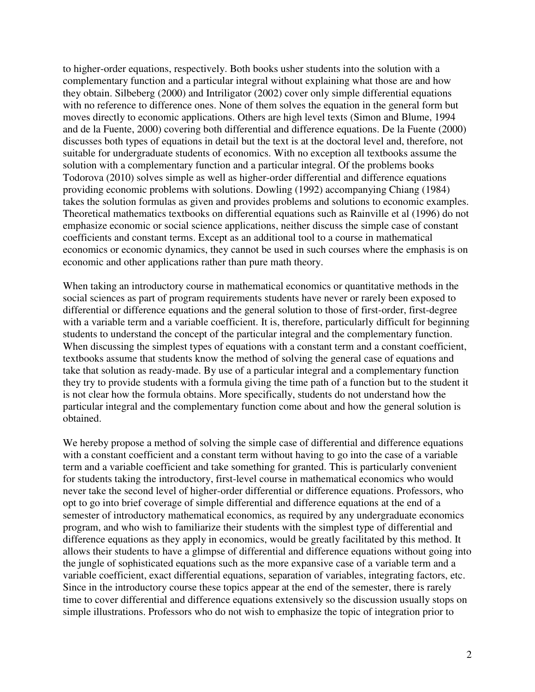to higher-order equations, respectively. Both books usher students into the solution with a complementary function and a particular integral without explaining what those are and how they obtain. Silbeberg (2000) and Intriligator (2002) cover only simple differential equations with no reference to difference ones. None of them solves the equation in the general form but moves directly to economic applications. Others are high level texts (Simon and Blume, 1994 and de la Fuente, 2000) covering both differential and difference equations. De la Fuente (2000) discusses both types of equations in detail but the text is at the doctoral level and, therefore, not suitable for undergraduate students of economics. With no exception all textbooks assume the solution with a complementary function and a particular integral. Of the problems books Todorova (2010) solves simple as well as higher-order differential and difference equations providing economic problems with solutions. Dowling (1992) accompanying Chiang (1984) takes the solution formulas as given and provides problems and solutions to economic examples. Theoretical mathematics textbooks on differential equations such as Rainville et al (1996) do not emphasize economic or social science applications, neither discuss the simple case of constant coefficients and constant terms. Except as an additional tool to a course in mathematical economics or economic dynamics, they cannot be used in such courses where the emphasis is on economic and other applications rather than pure math theory.

When taking an introductory course in mathematical economics or quantitative methods in the social sciences as part of program requirements students have never or rarely been exposed to differential or difference equations and the general solution to those of first-order, first-degree with a variable term and a variable coefficient. It is, therefore, particularly difficult for beginning students to understand the concept of the particular integral and the complementary function. When discussing the simplest types of equations with a constant term and a constant coefficient, textbooks assume that students know the method of solving the general case of equations and take that solution as ready-made. By use of a particular integral and a complementary function they try to provide students with a formula giving the time path of a function but to the student it is not clear how the formula obtains. More specifically, students do not understand how the particular integral and the complementary function come about and how the general solution is obtained.

We hereby propose a method of solving the simple case of differential and difference equations with a constant coefficient and a constant term without having to go into the case of a variable term and a variable coefficient and take something for granted. This is particularly convenient for students taking the introductory, first-level course in mathematical economics who would never take the second level of higher-order differential or difference equations. Professors, who opt to go into brief coverage of simple differential and difference equations at the end of a semester of introductory mathematical economics, as required by any undergraduate economics program, and who wish to familiarize their students with the simplest type of differential and difference equations as they apply in economics, would be greatly facilitated by this method. It allows their students to have a glimpse of differential and difference equations without going into the jungle of sophisticated equations such as the more expansive case of a variable term and a variable coefficient, exact differential equations, separation of variables, integrating factors, etc. Since in the introductory course these topics appear at the end of the semester, there is rarely time to cover differential and difference equations extensively so the discussion usually stops on simple illustrations. Professors who do not wish to emphasize the topic of integration prior to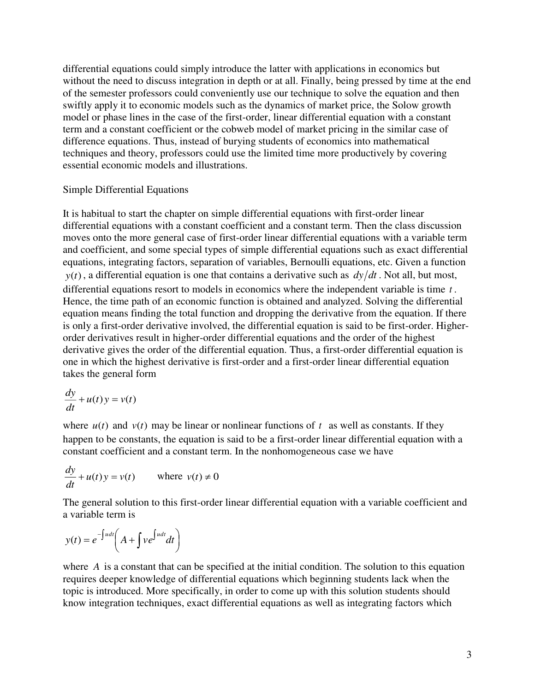differential equations could simply introduce the latter with applications in economics but without the need to discuss integration in depth or at all. Finally, being pressed by time at the end of the semester professors could conveniently use our technique to solve the equation and then swiftly apply it to economic models such as the dynamics of market price, the Solow growth model or phase lines in the case of the first-order, linear differential equation with a constant term and a constant coefficient or the cobweb model of market pricing in the similar case of difference equations. Thus, instead of burying students of economics into mathematical techniques and theory, professors could use the limited time more productively by covering essential economic models and illustrations.

## Simple Differential Equations

It is habitual to start the chapter on simple differential equations with first-order linear differential equations with a constant coefficient and a constant term. Then the class discussion moves onto the more general case of first-order linear differential equations with a variable term and coefficient, and some special types of simple differential equations such as exact differential equations, integrating factors, separation of variables, Bernoulli equations, etc. Given a function  $y(t)$ , a differential equation is one that contains a derivative such as  $dy/dt$ . Not all, but most, differential equations resort to models in economics where the independent variable is time *<sup>t</sup>* . Hence, the time path of an economic function is obtained and analyzed. Solving the differential equation means finding the total function and dropping the derivative from the equation. If there is only a first-order derivative involved, the differential equation is said to be first-order. Higherorder derivatives result in higher-order differential equations and the order of the highest derivative gives the order of the differential equation. Thus, a first-order differential equation is one in which the highest derivative is first-order and a first-order linear differential equation takes the general form

$$
\frac{dy}{dt} + u(t)y = v(t)
$$

where  $u(t)$  and  $v(t)$  may be linear or nonlinear functions of  $t$  as well as constants. If they happen to be constants, the equation is said to be a first-order linear differential equation with a constant coefficient and a constant term. In the nonhomogeneous case we have

$$
\frac{dy}{dt} + u(t)y = v(t) \quad \text{where } v(t) \neq 0
$$

The general solution to this first-order linear differential equation with a variable coefficient and a variable term is

$$
y(t) = e^{-\int u dt} \left( A + \int v e^{\int u dt} dt \right)
$$

where *A* is a constant that can be specified at the initial condition. The solution to this equation requires deeper knowledge of differential equations which beginning students lack when the topic is introduced. More specifically, in order to come up with this solution students should know integration techniques, exact differential equations as well as integrating factors which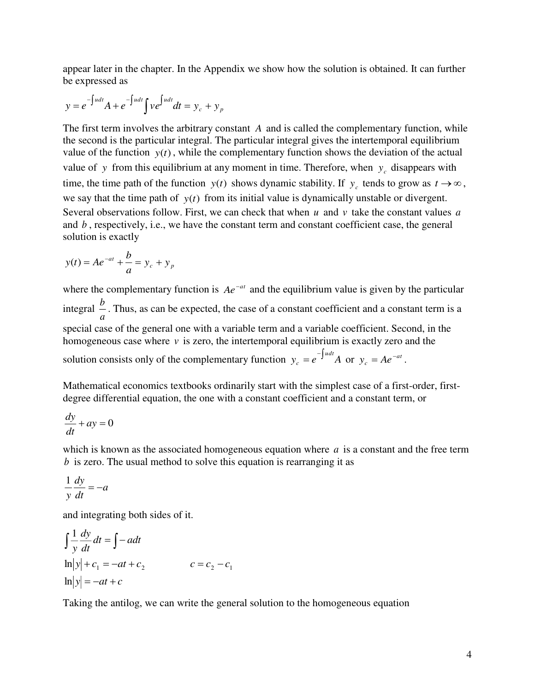appear later in the chapter. In the Appendix we show how the solution is obtained. It can further be expressed as

$$
y = e^{-\int u dt} A + e^{-\int u dt} \int v e^{\int u dt} dt = y_c + y_p
$$

The first term involves the arbitrary constant *A* and is called the complementary function, while the second is the particular integral. The particular integral gives the intertemporal equilibrium value of the function  $y(t)$ , while the complementary function shows the deviation of the actual value of y from this equilibrium at any moment in time. Therefore, when  $y_c$  disappears with time, the time path of the function  $y(t)$  shows dynamic stability. If  $y_c$  tends to grow as  $t \to \infty$ , we say that the time path of  $y(t)$  from its initial value is dynamically unstable or divergent. Several observations follow. First, we can check that when *u* and *v* take the constant values *<sup>a</sup>* and *b* , respectively, i.e., we have the constant term and constant coefficient case, the general solution is exactly

$$
y(t) = Ae^{-at} + \frac{b}{a} = y_c + y_p
$$

where the complementary function is  $Ae^{-at}$  and the equilibrium value is given by the particular integral  $\frac{b}{a}$ *b* . Thus, as can be expected, the case of a constant coefficient and a constant term is a special case of the general one with a variable term and a variable coefficient. Second, in the homogeneous case where  $\nu$  is zero, the intertemporal equilibrium is exactly zero and the solution consists only of the complementary function  $y_c = e^{-\int u dt} A$  $e^{-e^{-\int f}}$  $^{-1}$ <sup>*add</sup> A* or  $y_c = Ae^{-at}$ .</sup>

Mathematical economics textbooks ordinarily start with the simplest case of a first-order, firstdegree differential equation, the one with a constant coefficient and a constant term, or

$$
\frac{dy}{dt} + ay = 0
$$

which is known as the associated homogeneous equation where *a* is a constant and the free term *b* is zero. The usual method to solve this equation is rearranging it as

$$
\frac{1}{y}\frac{dy}{dt} = -a
$$

and integrating both sides of it.

$$
\int \frac{1}{y} \frac{dy}{dt} dt = \int -a dt
$$
  
\n
$$
\ln|y| + c_1 = -at + c_2 \qquad c = c_2 - c_1
$$
  
\n
$$
\ln|y| = -at + c
$$

Taking the antilog, we can write the general solution to the homogeneous equation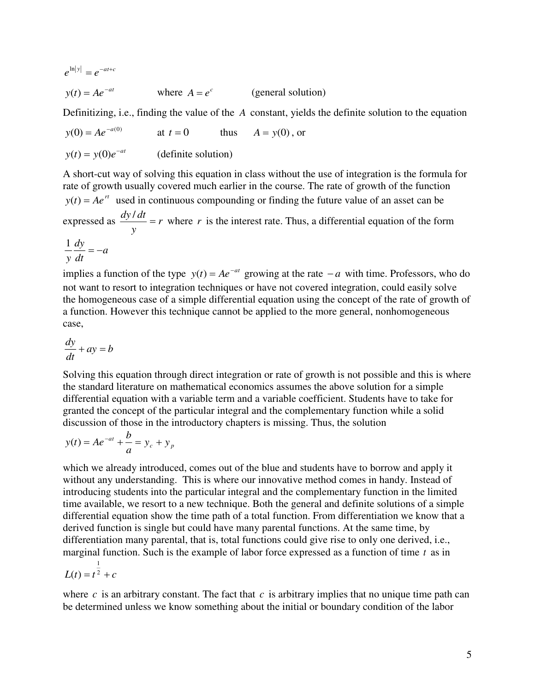$$
e^{\ln|y|} = e^{-at+c}
$$
  
y(t) =  $Ae^{-at}$  where  $A = e^c$  (general solution)

Definitizing, i.e., finding the value of the *A* constant, yields the definite solution to the equation

 $y(0) = Ae^{-a(0)}$ at  $t = 0$  thus  $A = y(0)$ , or  $y(t) = y(0)e^{-at}$ (definite solution)

A short-cut way of solving this equation in class without the use of integration is the formula for rate of growth usually covered much earlier in the course. The rate of growth of the function  $y(t) = Ae^{rt}$  used in continuous compounding or finding the future value of an asset can be expressed as  $\frac{dy}{dx} = r$ *y*  $\frac{dy}{dt} =$  $\frac{d\tau}{dt} = r$  where *r* is the interest rate. Thus, a differential equation of the form

$$
\frac{1}{y}\frac{dy}{dt} = -a
$$

implies a function of the type  $y(t) = Ae^{-at}$  growing at the rate  $-a$  with time. Professors, who do not want to resort to integration techniques or have not covered integration, could easily solve the homogeneous case of a simple differential equation using the concept of the rate of growth of a function. However this technique cannot be applied to the more general, nonhomogeneous case,

$$
\frac{dy}{dt} + ay = b
$$

Solving this equation through direct integration or rate of growth is not possible and this is where the standard literature on mathematical economics assumes the above solution for a simple differential equation with a variable term and a variable coefficient. Students have to take for granted the concept of the particular integral and the complementary function while a solid discussion of those in the introductory chapters is missing. Thus, the solution

$$
y(t) = Ae^{-at} + \frac{b}{a} = y_c + y_p
$$

which we already introduced, comes out of the blue and students have to borrow and apply it without any understanding. This is where our innovative method comes in handy. Instead of introducing students into the particular integral and the complementary function in the limited time available, we resort to a new technique. Both the general and definite solutions of a simple differential equation show the time path of a total function. From differentiation we know that a derived function is single but could have many parental functions. At the same time, by differentiation many parental, that is, total functions could give rise to only one derived, i.e., marginal function. Such is the example of labor force expressed as a function of time *t* as in

$$
L(t) = t^{\frac{1}{2}} + c
$$

where  $c$  is an arbitrary constant. The fact that  $c$  is arbitrary implies that no unique time path can be determined unless we know something about the initial or boundary condition of the labor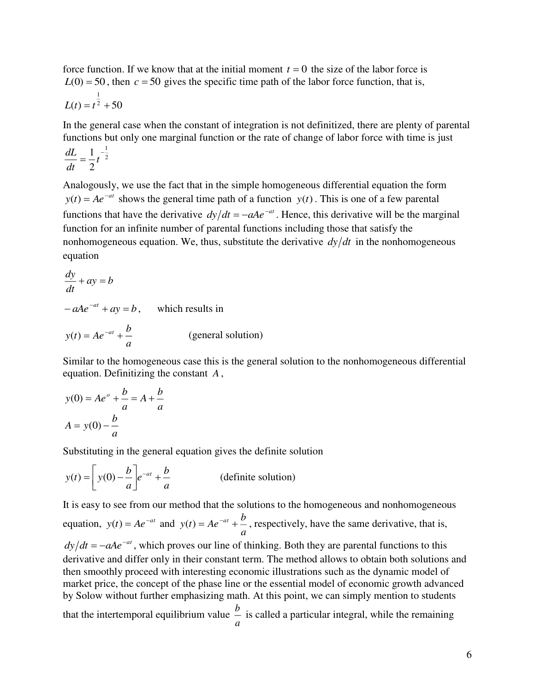force function. If we know that at the initial moment  $t = 0$  the size of the labor force is  $L(0) = 50$ , then  $c = 50$  gives the specific time path of the labor force function, that is,

$$
L(t) = t^{\frac{1}{2}} + 50
$$

In the general case when the constant of integration is not definitized, there are plenty of parental functions but only one marginal function or the rate of change of labor force with time is just

$$
\frac{dL}{dt} = \frac{1}{2}t^{-\frac{1}{2}}
$$

Analogously, we use the fact that in the simple homogeneous differential equation the form  $y(t) = Ae^{-at}$  shows the general time path of a function  $y(t)$ . This is one of a few parental functions that have the derivative  $dy/dt = -aAe^{-at}$ . Hence, this derivative will be the marginal function for an infinite number of parental functions including those that satisfy the nonhomogeneous equation. We, thus, substitute the derivative  $dy/dt$  in the nonhomogeneous equation

$$
\frac{dy}{dt} + ay = b
$$
  
-  $aAe^{-at} + ay = b$ , which results in  

$$
y(t) = Ae^{-at} + \frac{b}{a}
$$
 (general solution)

Similar to the homogeneous case this is the general solution to the nonhomogeneous differential equation. Definitizing the constant *<sup>A</sup>* ,

$$
y(0) = Ae^{o} + \frac{b}{a} = A + \frac{b}{a}
$$

$$
A = y(0) - \frac{b}{a}
$$

Substituting in the general equation gives the definite solution

$$
y(t) = \left[ y(0) - \frac{b}{a} \right] e^{-at} + \frac{b}{a}
$$
 (definite solution)

It is easy to see from our method that the solutions to the homogeneous and nonhomogeneous equation,  $y(t) = Ae^{-at}$  and  $y(t) = Ae^{-at} + \frac{b}{t}$ , respectively, have the same derivative, that is, *a*  $dy/dt = -aAe^{-at}$ , which proves our line of thinking. Both they are parental functions to this derivative and differ only in their constant term. The method allows to obtain both solutions and then smoothly proceed with interesting economic illustrations such as the dynamic model of market price, the concept of the phase line or the essential model of economic growth advanced by Solow without further emphasizing math. At this point, we can simply mention to students that the intertemporal equilibrium value  $\frac{b}{a}$ *b* is called a particular integral, while the remaining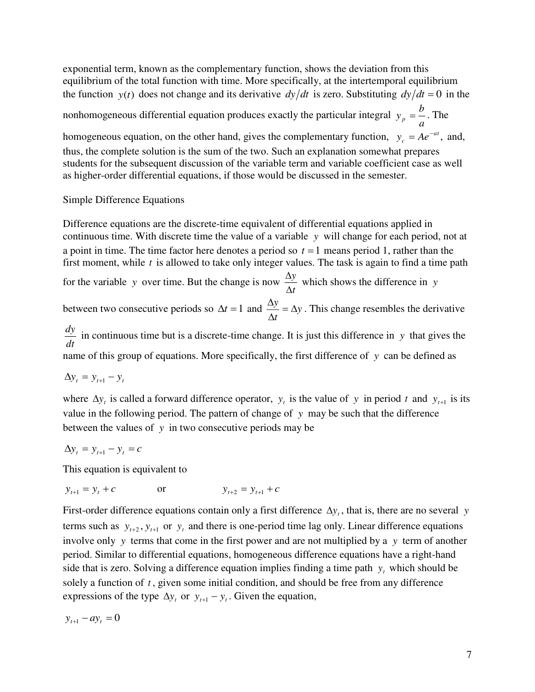exponential term, known as the complementary function, shows the deviation from this equilibrium of the total function with time. More specifically, at the intertemporal equilibrium the function  $y(t)$  does not change and its derivative  $dy/dt$  is zero. Substituting  $dy/dt = 0$  in the

nonhomogeneous differential equation produces exactly the particular integral  $y_p = \frac{b}{a}$  $y_p = \frac{b}{n}$ . The

homogeneous equation, on the other hand, gives the complementary function,  $y_c = Ae^{-at}$ , and, thus, the complete solution is the sum of the two. Such an explanation somewhat prepares students for the subsequent discussion of the variable term and variable coefficient case as well as higher-order differential equations, if those would be discussed in the semester.

Simple Difference Equations

Difference equations are the discrete-time equivalent of differential equations applied in continuous time. With discrete time the value of a variable *y* will change for each period, not at a point in time. The time factor here denotes a period so  $t = 1$  means period 1, rather than the first moment, while *t* is allowed to take only integer values. The task is again to find a time path

for the variable y over time. But the change is now  $\frac{\Delta y}{\Delta t}$ *y* Δ  $\frac{\Delta y}{y}$  which shows the difference in *y* 

between two consecutive periods so  $\Delta t = 1$  and  $\frac{\Delta y}{\Delta t} = \Delta y$  $\frac{y}{-} = \Lambda$ ٨  $\frac{\Delta y}{\Delta y} = \Delta y$ . This change resembles the derivative

 $\frac{dy}{dt}$  in continuous time but is a discrete-time change. It is just this difference in *y* that gives the name of this group of equations. More specifically, the first difference of *y* can be defined as

 $\Delta y_t = y_{t+1} - y_t$ 

where  $\Delta y_t$  is called a forward difference operator,  $y_t$  is the value of y in period t and  $y_{t+1}$  is its value in the following period. The pattern of change of *y* may be such that the difference between the values of  $y$  in two consecutive periods may be

 $\Delta y_t = y_{t+1} - y_t = c$ 

This equation is equivalent to

 $y_{t+1} = y_t + c$  or  $y_{t+2} = y_{t+1} + c$ 

First-order difference equations contain only a first difference  $\Delta y_t$ , that is, there are no several *y* terms such as  $y_{t+2}, y_{t+1}$  or  $y_t$  and there is one-period time lag only. Linear difference equations involve only *y* terms that come in the first power and are not multiplied by a *y* term of another period. Similar to differential equations, homogeneous difference equations have a right-hand side that is zero. Solving a difference equation implies finding a time path  $y_t$  which should be solely a function of *<sup>t</sup>* , given some initial condition, and should be free from any difference expressions of the type  $\Delta y_t$  or  $y_{t+1} - y_t$ . Given the equation,

 $y_{t+1} - ay_t = 0$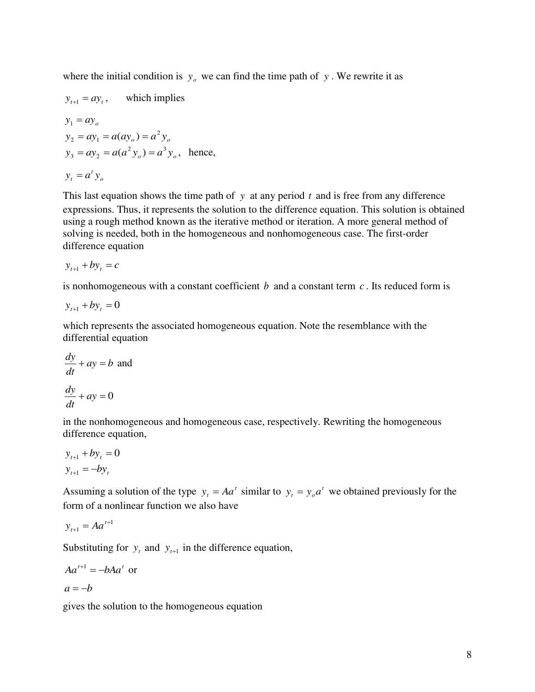where the initial condition is  $y_0$  we can find the time path of y. We rewrite it as

$$
y_{t+1} = ay_t, \text{ which implies}
$$
  
\n
$$
y_1 = ay_o
$$
  
\n
$$
y_2 = ay_1 = a(ay_o) = a^2 y_o
$$
  
\n
$$
y_3 = ay_2 = a(a^2 y_o) = a^3 y_o, \text{ hence,}
$$
  
\n
$$
y_t = a^t y_o
$$

This last equation shows the time path of *y* at any period *t* and is free from any difference expressions. Thus, it represents the solution to the difference equation. This solution is obtained using a rough method known as the iterative method or iteration. A more general method of solving is needed, both in the homogeneous and nonhomogeneous case. The first-order difference equation

$$
y_{t+1} + by_t = c
$$

is nonhomogeneous with a constant coefficient *b* and a constant term *<sup>c</sup>* . Its reduced form is

$$
y_{t+1} + by_t = 0
$$

which represents the associated homogeneous equation. Note the resemblance with the differential equation

$$
\frac{dy}{dt} + ay = b \text{ and}
$$

$$
\frac{dy}{dt} + ay = 0
$$

in the nonhomogeneous and homogeneous case, respectively. Rewriting the homogeneous difference equation,

$$
y_{t+1} + by_t = 0
$$

$$
y_{t+1} = -by_t
$$

Assuming a solution of the type  $y_t = Aa^t$  similar to  $y_t = y_0 a^t$  we obtained previously for the form of a nonlinear function we also have

$$
y_{t+1} = A a^{t+1}
$$

Substituting for  $y_t$  and  $y_{t+1}$  in the difference equation,

$$
Aa^{t+1} = -bAa^t
$$
 or  

$$
a = -b
$$

gives the solution to the homogeneous equation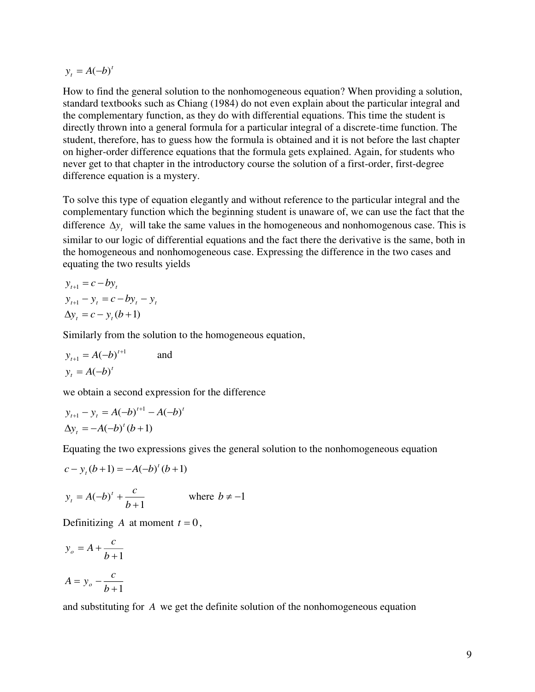$y_t = A(-b)^t$ 

How to find the general solution to the nonhomogeneous equation? When providing a solution, standard textbooks such as Chiang (1984) do not even explain about the particular integral and the complementary function, as they do with differential equations. This time the student is directly thrown into a general formula for a particular integral of a discrete-time function. The student, therefore, has to guess how the formula is obtained and it is not before the last chapter on higher-order difference equations that the formula gets explained. Again, for students who never get to that chapter in the introductory course the solution of a first-order, first-degree difference equation is a mystery.

To solve this type of equation elegantly and without reference to the particular integral and the complementary function which the beginning student is unaware of, we can use the fact that the difference  $\Delta y$ , will take the same values in the homogeneous and nonhomogenous case. This is similar to our logic of differential equations and the fact there the derivative is the same, both in the homogeneous and nonhomogeneous case. Expressing the difference in the two cases and equating the two results yields

 $y_{t+1} = c - by_t$  $y_{t+1} - y_t = c - by_t - y_t$  $\Delta y_t = c - y_t (b+1)$ 

Similarly from the solution to the homogeneous equation,

$$
y_{t+1} = A(-b)^{t+1} \qquad \text{and}
$$

$$
y_t = A(-b)^t
$$

we obtain a second expression for the difference

$$
y_{t+1} - y_t = A(-b)^{t+1} - A(-b)^t
$$
  
\n
$$
\Delta y_t = -A(-b)^t (b+1)
$$

Equating the two expressions gives the general solution to the nonhomogeneous equation

$$
c - y_t(b+1) = -A(-b)^t(b+1)
$$

$$
y_t = A(-b)^t + \frac{c}{b+1}
$$
 where  $b \neq -1$ 

Definitizing *A* at moment  $t = 0$ ,

$$
y_o = A + \frac{c}{b+1}
$$

$$
A = y_o - \frac{c}{b+1}
$$

and substituting for *A* we get the definite solution of the nonhomogeneous equation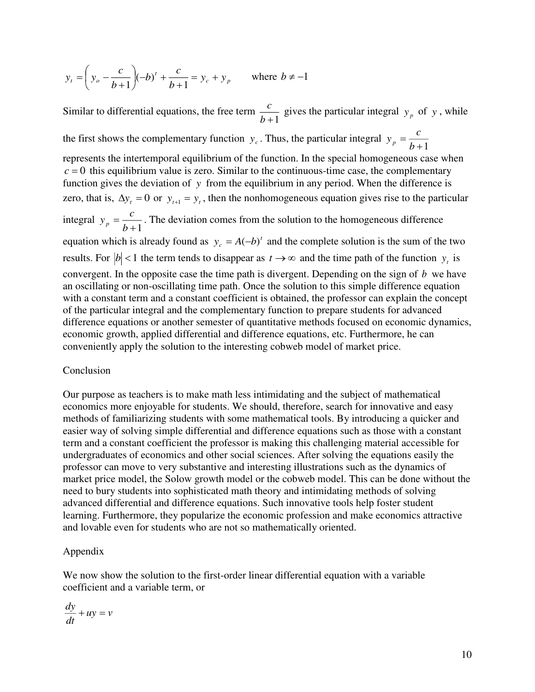$$
y_t = \left(y_o - \frac{c}{b+1}\right)(-b)^t + \frac{c}{b+1} = y_c + y_p
$$
 where  $b \neq -1$ 

Similar to differential equations, the free term  $\frac{c}{b+1}$  $\frac{c}{p}$  gives the particular integral  $y_p$  of y, while the first shows the complementary function  $y_c$ . Thus, the particular integral  $y_p = \frac{c}{b+1}$  $y_p = \frac{c}{l}$ represents the intertemporal equilibrium of the function. In the special homogeneous case when  $c = 0$  this equilibrium value is zero. Similar to the continuous-time case, the complementary function gives the deviation of *y* from the equilibrium in any period. When the difference is zero, that is,  $\Delta y_t = 0$  or  $y_{t+1} = y_t$ , then the nonhomogeneous equation gives rise to the particular integral  $y_p = \frac{e}{b+1}$  $y_p = \frac{c}{l+1}$ . The deviation comes from the solution to the homogeneous difference equation which is already found as  $y_c = A(-b)^t$  and the complete solution is the sum of the two results. For  $|b| < 1$  the term tends to disappear as  $t \to \infty$  and the time path of the function  $y_t$  is convergent. In the opposite case the time path is divergent. Depending on the sign of *b* we have an oscillating or non-oscillating time path. Once the solution to this simple difference equation with a constant term and a constant coefficient is obtained, the professor can explain the concept of the particular integral and the complementary function to prepare students for advanced difference equations or another semester of quantitative methods focused on economic dynamics, economic growth, applied differential and difference equations, etc. Furthermore, he can conveniently apply the solution to the interesting cobweb model of market price.

### Conclusion

Our purpose as teachers is to make math less intimidating and the subject of mathematical economics more enjoyable for students. We should, therefore, search for innovative and easy methods of familiarizing students with some mathematical tools. By introducing a quicker and easier way of solving simple differential and difference equations such as those with a constant term and a constant coefficient the professor is making this challenging material accessible for undergraduates of economics and other social sciences. After solving the equations easily the professor can move to very substantive and interesting illustrations such as the dynamics of market price model, the Solow growth model or the cobweb model. This can be done without the need to bury students into sophisticated math theory and intimidating methods of solving advanced differential and difference equations. Such innovative tools help foster student learning. Furthermore, they popularize the economic profession and make economics attractive and lovable even for students who are not so mathematically oriented.

#### Appendix

We now show the solution to the first-order linear differential equation with a variable coefficient and a variable term, or

$$
\frac{dy}{dt} + uy = v
$$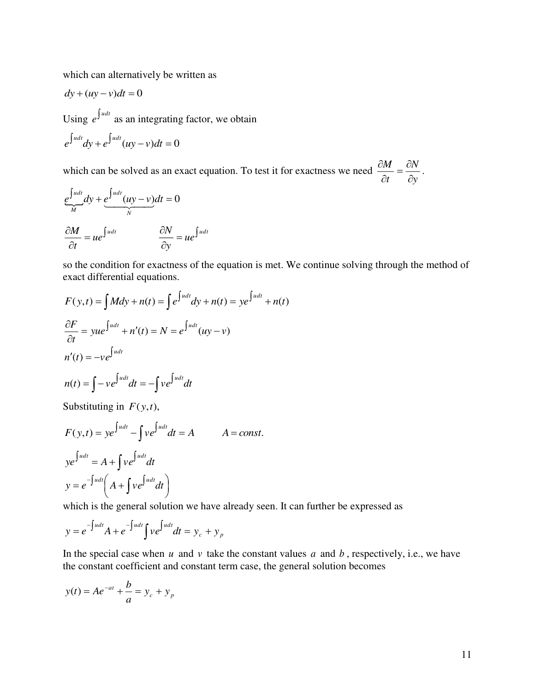which can alternatively be written as

$$
dy + (uy - v)dt = 0
$$
  
Using  $e^{\int u dt}$  as an integrating factor, we obtain  

$$
e^{\int u dt} dy + e^{\int u dt} (uy - v)dt = 0
$$

which can be solved as an exact equation. To test it for exactness we need *y N t M* õ  $\frac{\partial M}{\partial t} = \frac{\partial M}{\partial t}$  $\frac{\partial M}{\partial t} = \frac{\partial N}{\partial t}.$ 

$$
e^{\int u dt \over M} dy + e^{\int u dt} (uy - v) dt = 0
$$

$$
\frac{\partial M}{\partial t} = ue^{\int u dt} \qquad \frac{\partial N}{\partial y} = ue^{\int u dt}
$$

so the condition for exactness of the equation is met. We continue solving through the method of exact differential equations.

$$
F(y,t) = \int M dy + n(t) = \int e^{\int u dt} dy + n(t) = ye^{\int u dt} + n(t)
$$
  
\n
$$
\frac{\partial F}{\partial t} = yue^{\int u dt} + n'(t) = N = e^{\int u dt} (uy - v)
$$
  
\n
$$
n'(t) = -ve^{\int u dt} dt = -\int ve^{\int u dt} dt
$$
  
\nSubstituting in  $F(y, t)$ 

Substituting in  $F(y, t)$ ,

$$
F(y,t) = ye^{\int udt} - \int ve^{\int udt} dt = A \qquad A = const.
$$
  

$$
ye^{\int udt} = A + \int ve^{\int udt} dt
$$
  

$$
y = e^{-\int udt} \left( A + \int ve^{\int udt} dt \right)
$$

which is the general solution we have already seen. It can further be expressed as

$$
y = e^{-\int u dt} A + e^{-\int u dt} \int v e^{\int u dt} dt = y_c + y_p
$$

In the special case when  $u$  and  $v$  take the constant values  $a$  and  $b$ , respectively, i.e., we have the constant coefficient and constant term case, the general solution becomes

$$
y(t) = Ae^{-at} + \frac{b}{a} = y_c + y_p
$$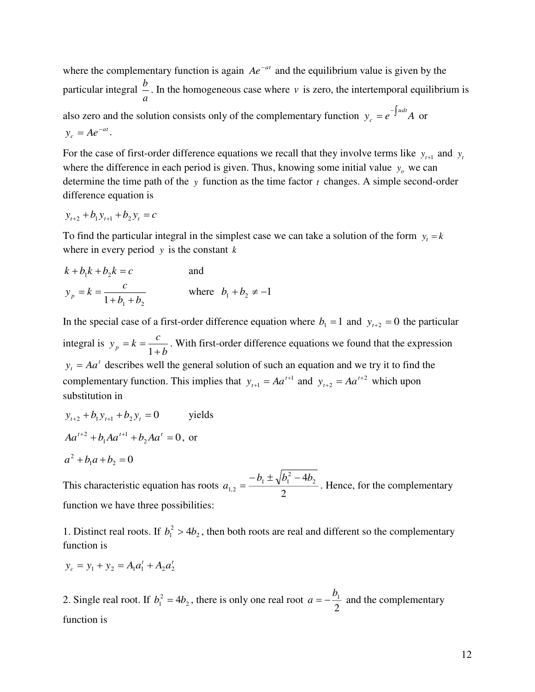where the complementary function is again  $Ae^{-at}$  and the equilibrium value is given by the particular integral  $\frac{b}{n}$ . In the homogeneous case where *v* is zero, the intertemporal equilibrium is *a* also zero and the solution consists only of the complementary function  $y_c = e^{-\int u dt} A$  $e^{e} = e^{-\int$  $^{-1}$ <sup>ual</sup>A or  $y_c = Ae^{-at}$ .

For the case of first-order difference equations we recall that they involve terms like  $y_{t+1}$  and  $y_t$ where the difference in each period is given. Thus, knowing some initial value  $y_0$  we can determine the time path of the *y* function as the time factor *t* changes. A simple second-order difference equation is

$$
y_{t+2} + b_1 y_{t+1} + b_2 y_t = c
$$

To find the particular integral in the simplest case we can take a solution of the form  $y_t = k$ where in every period *y* is the constant *<sup>k</sup>*

$$
k + b_1 k + b_2 k = c
$$
 and  

$$
y_p = k = \frac{c}{1 + b_1 + b_2}
$$
 where  $b_1 + b_2 \neq -1$ 

In the special case of a first-order difference equation where  $b_1 = 1$  and  $y_{t+2} = 0$  the particular integral is  $y_p = k = \frac{e}{1+b}$  $y_p = k = \frac{c}{1+b}$ . With first-order difference equations we found that the expression  $y_t = A a^t$  describes well the general solution of such an equation and we try it to find the complementary function. This implies that  $y_{t+1} = Aa^{t+1}$  and  $y_{t+2} = Aa^{t+2}$  which upon substitution in

$$
y_{t+2} + b_1 y_{t+1} + b_2 y_t = 0
$$
 yields  
\n
$$
Aa^{t+2} + b_1 Aa^{t+1} + b_2 Aa^t = 0
$$
, or  
\n
$$
a^2 + b_1 a + b_2 = 0
$$

This characteristic equation has roots  $a_{1,2} = \frac{a_{12} + a_{23}}{2}$  $l^2 - 4b_2$  $1 - V$ <sup> $U$ </sup>1 2,1 *b*  $\pm \sqrt{b^2 - 4b}$  $a_{1,2} = \frac{-b_1 \pm \sqrt{b_1^2 - 4b_2}}{2}$ . Hence, for the complementary function we have three possibilities:

1. Distinct real roots. If  $b_1^2 > 4b_2$ , then both roots are real and different so the complementary function is

$$
y_c = y_1 + y_2 = A_1 a_1^t + A_2 a_2^t
$$

2. Single real root. If  $b_1^2 = 4b_2$ , there is only one real root  $a = -\frac{b_1}{2}$  $a = -\frac{b_1}{2}$  and the complementary function is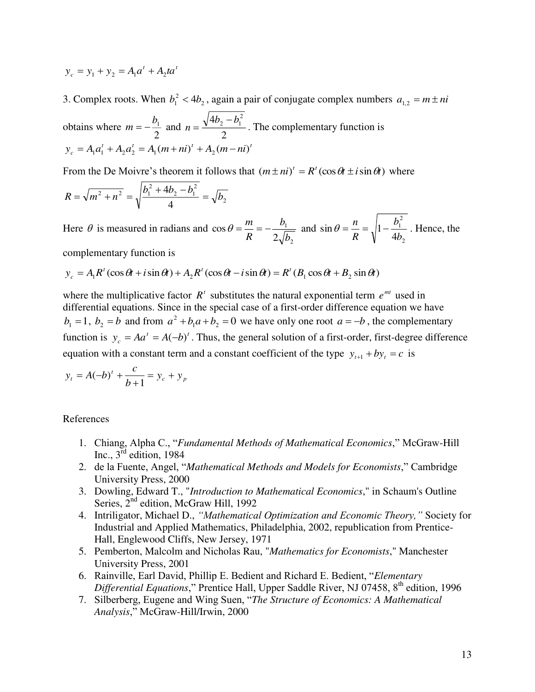$$
y_c = y_1 + y_2 = A_1 a^t + A_2 t a^t
$$

3. Complex roots. When  $b_1^2 < 4b_2$ , again a pair of conjugate complex numbers  $a_{1,2} = m \pm ni$ 

obtains where  $m = -\frac{b_1}{2}$  and  $n = \frac{\sqrt{4b_2}}{2}$  $n = \frac{\sqrt{4b_2 - b_1^2}}{2}$ . The complementary function is  $y_c = A_1 a_1^t + A_2 a_2^t = A_1 (m + ni)^t + A_2 (m - ni)^t$ 

From the De Moivre's theorem it follows that  $(m \pm ni)' = R'(\cos \theta t \pm i \sin \theta t)$  where

$$
R = \sqrt{m^2 + n^2} = \sqrt{\frac{b_1^2 + 4b_2 - b_1^2}{4}} = \sqrt{b_2}
$$

Here  $\theta$  is measured in radians and 2 1  $\cos \theta = \frac{\pi}{R} = -\frac{1}{2\sqrt{b}}$ *b R*  $heta = \frac{m}{R} = -\frac{b_1}{R}$  and 2 2 1 4  $\sin \theta = -\frac{1}{2}$  1 *b b R*  $\theta = \frac{n}{n} = \sqrt{1 - \frac{b_1}{n}}$ . Hence, the

complementary function is

$$
y_c = A_1 R^t (\cos \theta t + i \sin \theta t) + A_2 R^t (\cos \theta t - i \sin \theta t) = R^t (B_1 \cos \theta t + B_2 \sin \theta t)
$$

where the multiplicative factor  $R<sup>t</sup>$  substitutes the natural exponential term  $e^{mt}$  used in differential equations. Since in the special case of a first-order difference equation we have  $b_1 = 1$ ,  $b_2 = b$  and from  $a^2 + b_1 a + b_2 = 0$  we have only one root  $a = -b$ , the complementary function is  $y_c = A a^t = A(-b)^t$ . Thus, the general solution of a first-order, first-degree difference equation with a constant term and a constant coefficient of the type  $y_{t+1} + by_t = c$  is

$$
y_t = A(-b)^t + \frac{c}{b+1} = y_c + y_p
$$

#### References

- 1. Chiang, Alpha C., "*Fundamental Methods of Mathematical Economics*," McGraw-Hill Inc.,  $3^{\text{rd}}$  edition, 1984
- 2. de la Fuente, Angel, "*Mathematical Methods and Models for Economists*," Cambridge University Press, 2000
- 3. Dowling, Edward T., "*Introduction to Mathematical Economics*," in Schaum's Outline Series,  $2^{nd}$  edition, McGraw Hill, 1992
- 4. Intriligator, Michael D., *"Mathematical Optimization and Economic Theory,"* Society for Industrial and Applied Mathematics, Philadelphia, 2002, republication from Prentice-Hall, Englewood Cliffs, New Jersey, 1971
- 5. Pemberton, Malcolm and Nicholas Rau, "*Mathematics for Economists*," Manchester University Press, 2001
- 6. Rainville, Earl David, Phillip E. Bedient and Richard E. Bedient, "*Elementary Differential Equations*," Prentice Hall, Upper Saddle River, NJ 07458, 8<sup>th</sup> edition, 1996
- 7. Silberberg, Eugene and Wing Suen, "*The Structure of Economics: A Mathematical Analysis*," McGraw-Hill/Irwin, 2000